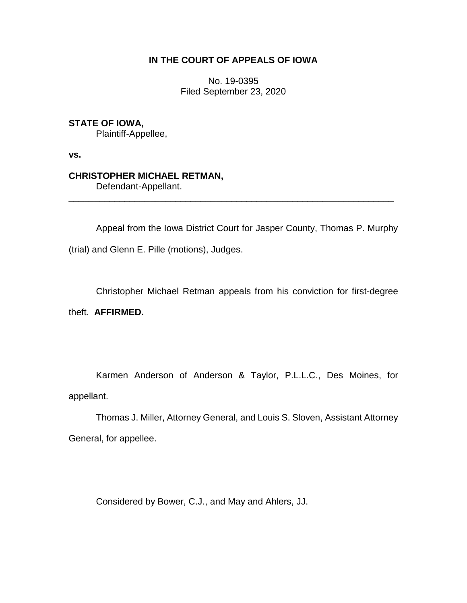## **IN THE COURT OF APPEALS OF IOWA**

No. 19-0395 Filed September 23, 2020

## **STATE OF IOWA,**

Plaintiff-Appellee,

**vs.**

### **CHRISTOPHER MICHAEL RETMAN,**

Defendant-Appellant.

Appeal from the Iowa District Court for Jasper County, Thomas P. Murphy (trial) and Glenn E. Pille (motions), Judges.

\_\_\_\_\_\_\_\_\_\_\_\_\_\_\_\_\_\_\_\_\_\_\_\_\_\_\_\_\_\_\_\_\_\_\_\_\_\_\_\_\_\_\_\_\_\_\_\_\_\_\_\_\_\_\_\_\_\_\_\_\_\_\_\_

Christopher Michael Retman appeals from his conviction for first-degree

theft. **AFFIRMED.**

Karmen Anderson of Anderson & Taylor, P.L.L.C., Des Moines, for appellant.

Thomas J. Miller, Attorney General, and Louis S. Sloven, Assistant Attorney General, for appellee.

Considered by Bower, C.J., and May and Ahlers, JJ.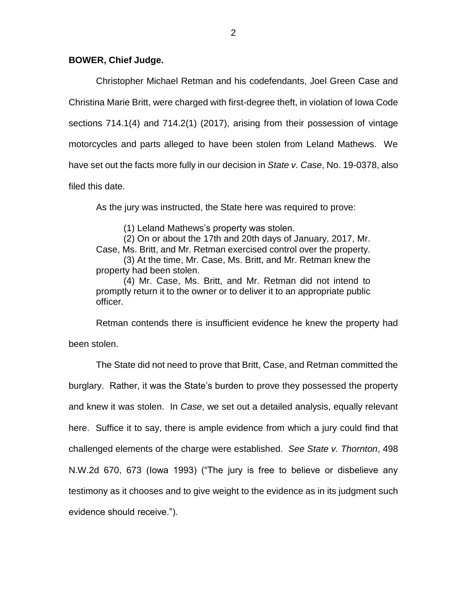#### **BOWER, Chief Judge.**

Christopher Michael Retman and his codefendants, Joel Green Case and Christina Marie Britt, were charged with first-degree theft, in violation of Iowa Code sections 714.1(4) and 714.2(1) (2017), arising from their possession of vintage motorcycles and parts alleged to have been stolen from Leland Mathews. We have set out the facts more fully in our decision in *State v. Case*, No. 19-0378, also filed this date.

As the jury was instructed, the State here was required to prove:

(1) Leland Mathews's property was stolen.

(2) On or about the 17th and 20th days of January, 2017, Mr. Case, Ms. Britt, and Mr. Retman exercised control over the property. (3) At the time, Mr. Case, Ms. Britt, and Mr. Retman knew the property had been stolen.

(4) Mr. Case, Ms. Britt, and Mr. Retman did not intend to promptly return it to the owner or to deliver it to an appropriate public officer.

Retman contends there is insufficient evidence he knew the property had been stolen.

The State did not need to prove that Britt, Case, and Retman committed the burglary. Rather, it was the State's burden to prove they possessed the property and knew it was stolen. In *Case*, we set out a detailed analysis, equally relevant here. Suffice it to say, there is ample evidence from which a jury could find that challenged elements of the charge were established. *See State v. Thornton*, 498 N.W.2d 670, 673 (Iowa 1993) ("The jury is free to believe or disbelieve any testimony as it chooses and to give weight to the evidence as in its judgment such evidence should receive.").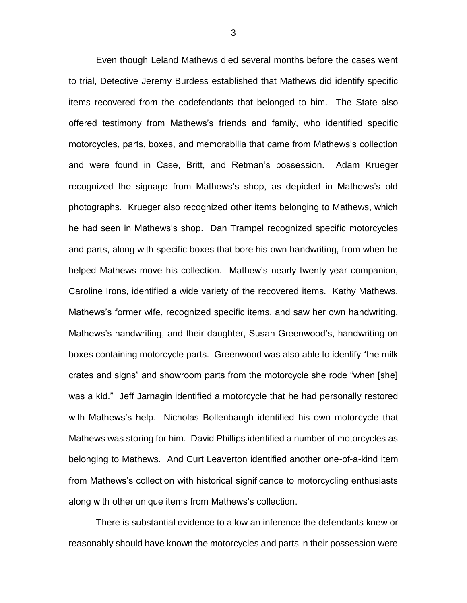Even though Leland Mathews died several months before the cases went to trial, Detective Jeremy Burdess established that Mathews did identify specific items recovered from the codefendants that belonged to him. The State also offered testimony from Mathews's friends and family, who identified specific motorcycles, parts, boxes, and memorabilia that came from Mathews's collection and were found in Case, Britt, and Retman's possession. Adam Krueger recognized the signage from Mathews's shop, as depicted in Mathews's old photographs. Krueger also recognized other items belonging to Mathews, which he had seen in Mathews's shop. Dan Trampel recognized specific motorcycles and parts, along with specific boxes that bore his own handwriting, from when he helped Mathews move his collection. Mathew's nearly twenty-year companion, Caroline Irons, identified a wide variety of the recovered items. Kathy Mathews, Mathews's former wife, recognized specific items, and saw her own handwriting, Mathews's handwriting, and their daughter, Susan Greenwood's, handwriting on boxes containing motorcycle parts. Greenwood was also able to identify "the milk crates and signs" and showroom parts from the motorcycle she rode "when [she] was a kid." Jeff Jarnagin identified a motorcycle that he had personally restored with Mathews's help. Nicholas Bollenbaugh identified his own motorcycle that Mathews was storing for him. David Phillips identified a number of motorcycles as belonging to Mathews. And Curt Leaverton identified another one-of-a-kind item from Mathews's collection with historical significance to motorcycling enthusiasts along with other unique items from Mathews's collection.

There is substantial evidence to allow an inference the defendants knew or reasonably should have known the motorcycles and parts in their possession were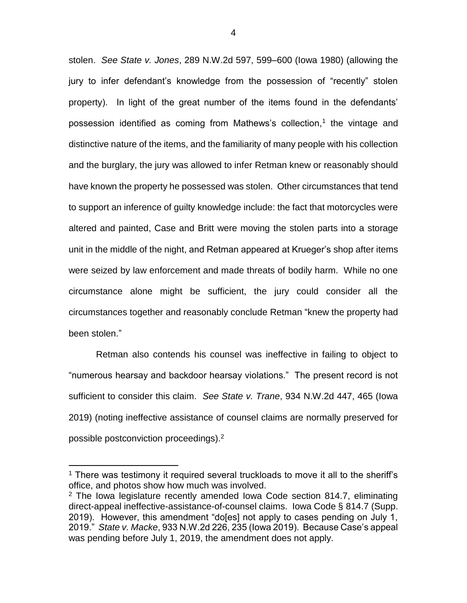stolen. *See State v. Jones*, 289 N.W.2d 597, 599–600 (Iowa 1980) (allowing the jury to infer defendant's knowledge from the possession of "recently" stolen property). In light of the great number of the items found in the defendants' possession identified as coming from Mathews's collection,<sup>1</sup> the vintage and distinctive nature of the items, and the familiarity of many people with his collection and the burglary, the jury was allowed to infer Retman knew or reasonably should have known the property he possessed was stolen. Other circumstances that tend to support an inference of guilty knowledge include: the fact that motorcycles were altered and painted, Case and Britt were moving the stolen parts into a storage unit in the middle of the night, and Retman appeared at Krueger's shop after items were seized by law enforcement and made threats of bodily harm. While no one circumstance alone might be sufficient, the jury could consider all the circumstances together and reasonably conclude Retman "knew the property had been stolen."

Retman also contends his counsel was ineffective in failing to object to "numerous hearsay and backdoor hearsay violations." The present record is not sufficient to consider this claim. *See State v. Trane*, 934 N.W.2d 447, 465 (Iowa 2019) (noting ineffective assistance of counsel claims are normally preserved for possible postconviction proceedings).<sup>2</sup>

 $\overline{a}$ 

 $1$  There was testimony it required several truckloads to move it all to the sheriff's office, and photos show how much was involved.

<sup>2</sup> The Iowa legislature recently amended Iowa Code section 814.7, eliminating direct-appeal ineffective-assistance-of-counsel claims. Iowa Code § 814.7 (Supp. 2019). However, this amendment "do[es] not apply to cases pending on July 1, 2019." *State v. Macke*, 933 N.W.2d 226, 235 (Iowa 2019). Because Case's appeal was pending before July 1, 2019, the amendment does not apply.